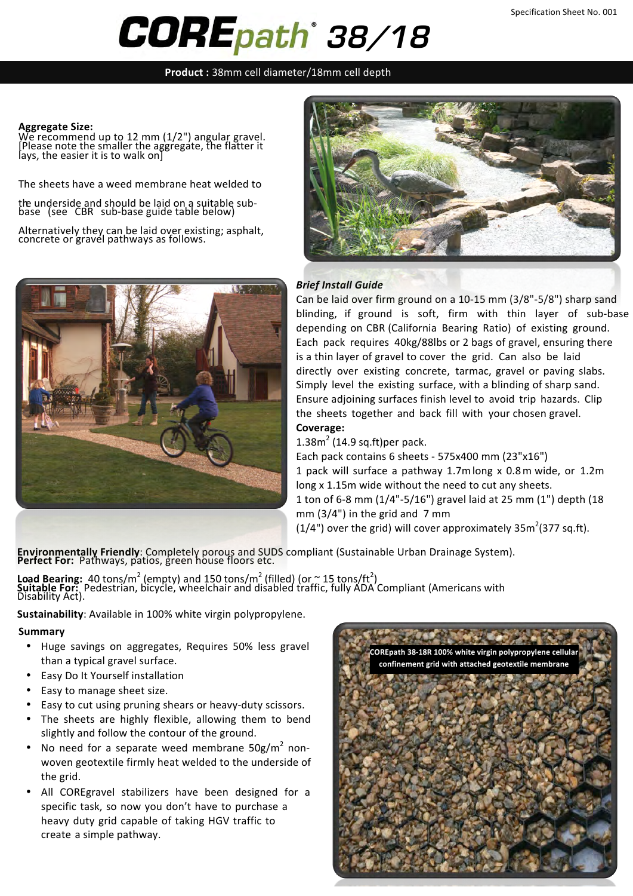# *38/18*

**Product** : 38mm cell diameter/18mm cell depth

#### **Aggregate Size:**

 $W$ e recommend up to 12 mm (1/2") angular gravel. [Please note the smaller the aggregate, the flatter it lays, the easier it is to walk on]

The sheets have a weed membrane heat welded to

the underside and should be laid on a suitable sub-<br>base (see CBR sub-base guide table below)

Alternatively they can be laid over existing; asphalt,<br>concrete or gravel pathways as follows.





#### **Brief Install Guide**

Can be laid over firm ground on a  $10-15$  mm ( $3/8$ "-5/8") sharp sand blinding, if ground is soft, firm with thin layer of sub-base depending on CBR (California Bearing Ratio) of existing ground. Each pack requires 40kg/88lbs or 2 bags of gravel, ensuring there is a thin layer of gravel to cover the grid. Can also be laid directly over existing concrete, tarmac, gravel or paving slabs. Simply level the existing surface, with a blinding of sharp sand. Ensure adjoining surfaces finish level to avoid trip hazards. Clip the sheets together and back fill with your chosen gravel. **Coverage:** 

 $1.38$ m<sup>2</sup> (14.9 sq.ft)per pack.

Each pack contains  $6$  sheets - 575x400 mm (23"x16") 1 pack will surface a pathway 1.7mlong x 0.8m wide, or 1.2m long x 1.15m wide without the need to cut any sheets. 1 ton of 6-8 mm (1/4"-5/16") gravel laid at 25 mm (1") depth (18 mm  $(3/4")$  in the grid and 7 mm (1/4") over the grid) will cover approximately  $35m^2(377$  sq.ft).

**Environmentally Friendly**: Completely porous and SUDS compliant (Sustainable Urban Drainage System). Perfect For: Pathways, patios, green house floors etc.

**Load Bearing:**  $40 \text{ tons/m}^2$  (empty) and 150 tons/m<sup>2</sup> (filled) (or  $\approx$  15 tons/ft<sup>2</sup>) **Suitable For:** Pedestrian, bicycle, wheelchair and disabled traffic, fully ADA Compliant (Americans with Disability Act).

**Sustainability:** Available in 100% white virgin polypropylene.

#### **Summary**

- Huge savings on aggregates, Requires 50% less gravel than a typical gravel surface.
- Easy Do It Yourself installation
- Easy to manage sheet size.
- Easy to cut using pruning shears or heavy-duty scissors.
- The sheets are highly flexible, allowing them to bend slightly and follow the contour of the ground.
- No need for a separate weed membrane  $50g/m^2$  nonwoven geotextile firmly heat welded to the underside of the grid.
- All COREgravel stabilizers have been designed for a specific task, so now you don't have to purchase a heavy duty grid capable of taking HGV traffic to create a simple pathway.

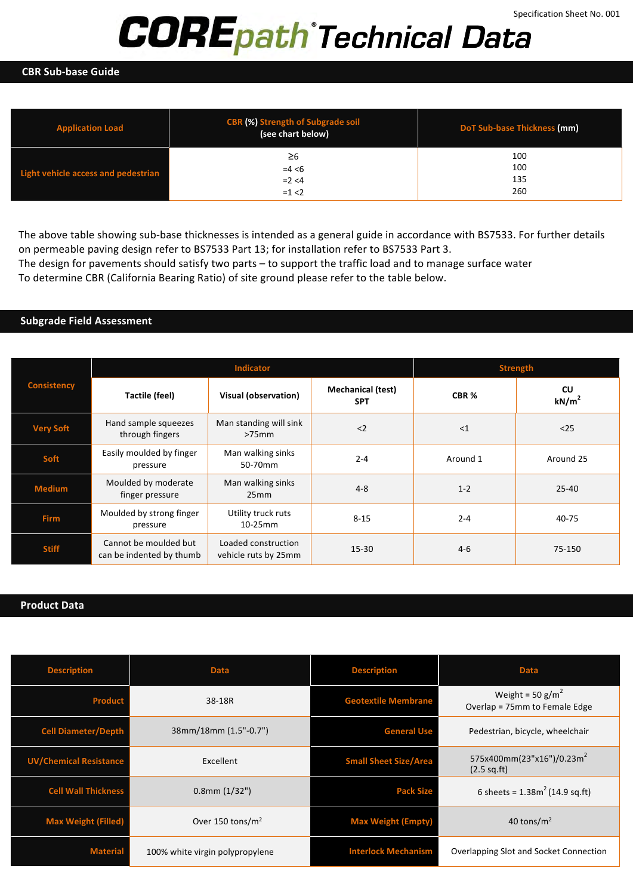# *Technical Data*

#### **CBR Sub-base Guide**

| <b>Application Load</b>             | <b>CBR (%) Strength of Subgrade soil</b><br>(see chart below) | DoT Sub-base Thickness (mm) |  |
|-------------------------------------|---------------------------------------------------------------|-----------------------------|--|
|                                     | ≥6                                                            | 100                         |  |
| Light vehicle access and pedestrian | $=4 < 6$                                                      | 100                         |  |
|                                     | $= 2 < 4$                                                     | 135                         |  |
|                                     | $=1 < 2$                                                      | 260                         |  |

The above table showing sub-base thicknesses is intended as a general guide in accordance with BS7533. For further details on permeable paving design refer to BS7533 Part 13; for installation refer to BS7533 Part 3.

The design for pavements should satisfy two parts - to support the traffic load and to manage surface water To determine CBR (California Bearing Ratio) of site ground please refer to the table below.

#### **Subgrade Field Assessment**

| <b>Consistency</b> | <b>Indicator</b>                                  |                                             |                                        | <b>Strength</b>  |                                |
|--------------------|---------------------------------------------------|---------------------------------------------|----------------------------------------|------------------|--------------------------------|
|                    | Tactile (feel)                                    | Visual (observation)                        | <b>Mechanical (test)</b><br><b>SPT</b> | CBR <sub>%</sub> | <b>CU</b><br>kN/m <sup>2</sup> |
| <b>Very Soft</b>   | Hand sample squeezes<br>through fingers           | Man standing will sink<br>$>75$ mm          | $2$                                    | <1               | $25$                           |
| Soft               | Easily moulded by finger<br>pressure              | Man walking sinks<br>50-70mm                | $2 - 4$                                | Around 1         | Around 25                      |
| <b>Medium</b>      | Moulded by moderate<br>finger pressure            | Man walking sinks<br>25mm                   | $4 - 8$                                | $1 - 2$          | $25 - 40$                      |
| <b>Firm</b>        | Moulded by strong finger<br>pressure              | Utility truck ruts<br>$10-25$ mm            | $8 - 15$                               | $2 - 4$          | 40-75                          |
| <b>Stiff</b>       | Cannot be moulded but<br>can be indented by thumb | Loaded construction<br>vehicle ruts by 25mm | $15 - 30$                              | $4-6$            | 75-150                         |

### **Product Data**

| <b>Description</b>            | <b>Description</b><br><b>Data</b> |                              | <b>Data</b>                                                     |
|-------------------------------|-----------------------------------|------------------------------|-----------------------------------------------------------------|
| <b>Product</b>                | 38-18R                            | <b>Geotextile Membrane</b>   | Weight = $50$ g/m <sup>2</sup><br>Overlap = 75mm to Female Edge |
| <b>Cell Diameter/Depth</b>    | 38mm/18mm (1.5"-0.7")             | <b>General Use</b>           | Pedestrian, bicycle, wheelchair                                 |
| <b>UV/Chemical Resistance</b> | Excellent                         | <b>Small Sheet Size/Area</b> | 575x400mm(23"x16")/0.23m <sup>2</sup><br>$(2.5$ sq.ft)          |
| <b>Cell Wall Thickness</b>    | $0.8$ mm $(1/32")$                | <b>Pack Size</b>             | 6 sheets = $1.38m^2$ (14.9 sq.ft)                               |
| <b>Max Weight (Filled)</b>    | Over 150 tons/ $m2$               | <b>Max Weight (Empty)</b>    | 40 tons/ $m2$                                                   |
| <b>Material</b>               | 100% white virgin polypropylene   | <b>Interlock Mechanism</b>   | Overlapping Slot and Socket Connection                          |